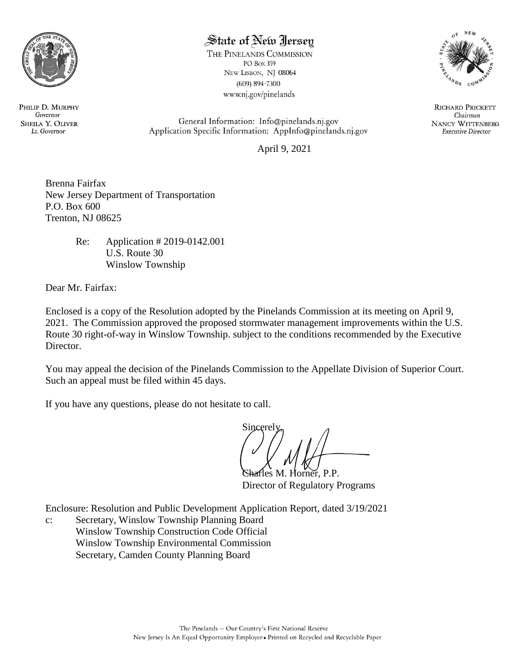

# State of New Jersey

THE PINELANDS COMMISSION PO Box 359 NEW LISBON, NJ 08064  $(609) 894 - 7300$ www.nj.gov/pinelands



**RICHARD PRICKETT** Chairman **NANCY WITTENBERG Executive Director** 

General Information: Info@pinelands.nj.gov Application Specific Information: AppInfo@pinelands.nj.gov

April 9, 2021

Brenna Fairfax New Jersey Department of Transportation P.O. Box 600 Trenton, NJ 08625

> Re: Application # 2019-0142.001 U.S. Route 30 Winslow Township

Dear Mr. Fairfax:

Enclosed is a copy of the Resolution adopted by the Pinelands Commission at its meeting on April 9, 2021. The Commission approved the proposed stormwater management improvements within the U.S. Route 30 right-of-way in Winslow Township. subject to the conditions recommended by the Executive Director.

You may appeal the decision of the Pinelands Commission to the Appellate Division of Superior Court. Such an appeal must be filed within 45 days.

If you have any questions, please do not hesitate to call.

Sincerel<sub>1</sub>

Charles M. Horner, P.P. Director of Regulatory Programs

Enclosure: Resolution and Public Development Application Report, dated 3/19/2021

c: Secretary, Winslow Township Planning Board Winslow Township Construction Code Official Winslow Township Environmental Commission Secretary, Camden County Planning Board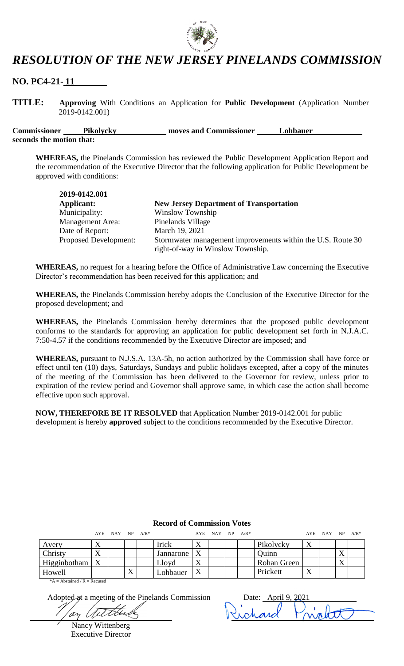

# *RESOLUTION OF THE NEW JERSEY PINELANDS COMMISSION*

**NO. PC4-21- 11**

**TITLE: Approving** With Conditions an Application for **Public Development** (Application Number 2019-0142.001)

**Commissioner** Pikolycky moves and Commissioner Lohbauer **seconds the motion that:**

**WHEREAS,** the Pinelands Commission has reviewed the Public Development Application Report and the recommendation of the Executive Director that the following application for Public Development be approved with conditions:

| 2019-0142.001                |                                                             |
|------------------------------|-------------------------------------------------------------|
| Applicant:                   | <b>New Jersey Department of Transportation</b>              |
| Municipality:                | Winslow Township                                            |
| <b>Management Area:</b>      | Pinelands Village                                           |
| Date of Report:              | March 19, 2021                                              |
| <b>Proposed Development:</b> | Stormwater management improvements within the U.S. Route 30 |
|                              | right-of-way in Winslow Township.                           |

**WHEREAS,** no request for a hearing before the Office of Administrative Law concerning the Executive Director's recommendation has been received for this application; and

**WHEREAS,** the Pinelands Commission hereby adopts the Conclusion of the Executive Director for the proposed development; and

**WHEREAS,** the Pinelands Commission hereby determines that the proposed public development conforms to the standards for approving an application for public development set forth in N.J.A.C. 7:50-4.57 if the conditions recommended by the Executive Director are imposed; and

WHEREAS, pursuant to N.J.S.A. 13A-5h, no action authorized by the Commission shall have force or effect until ten (10) days, Saturdays, Sundays and public holidays excepted, after a copy of the minutes of the meeting of the Commission has been delivered to the Governor for review, unless prior to expiration of the review period and Governor shall approve same, in which case the action shall become effective upon such approval.

**NOW, THEREFORE BE IT RESOLVED** that Application Number 2019-0142.001 for public development is hereby **approved** subject to the conditions recommended by the Executive Director.

|                                   |   | AYE NAY NP $A/R^*$ |   |              | AYE              | $NAY$ NP $A/R^*$ |  |                    | AYE | NAY | $NP$ $A/R^*$ |
|-----------------------------------|---|--------------------|---|--------------|------------------|------------------|--|--------------------|-----|-----|--------------|
| Avery                             | Δ |                    |   | <b>Irick</b> | X                |                  |  | Pikolycky          | X   |     |              |
| Christy                           | Δ |                    |   | Jannarone    | $\boldsymbol{X}$ |                  |  | Quinn              |     |     |              |
| Higginbotham $\vert X \vert$      |   |                    |   | Lloyd        | X                |                  |  | <b>Rohan Green</b> |     |     |              |
| Howell                            |   |                    | X | Lohbauer     | X                |                  |  | Prickett           |     |     |              |
| $*A = Abstract and / R = Recused$ |   |                    |   |              |                  |                  |  |                    |     |     |              |

#### **Record of Commission Votes**

Adopted at a meeting of the Pinelands Commission Date: April 9,

Nancy Wittenberg Executive Director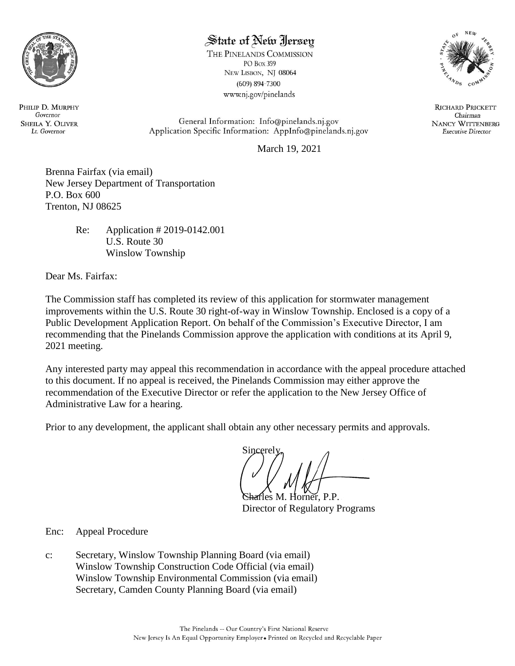

# State of New Jersey

THE PINELANDS COMMISSION PO Box 359 NEW LISBON, NJ 08064  $(609) 894 - 7300$ www.nj.gov/pinelands



**RICHARD PRICKETT** Chairman **NANCY WITTENBERG Executive Director** 

General Information: Info@pinelands.nj.gov Application Specific Information: AppInfo@pinelands.nj.gov

March 19, 2021

Brenna Fairfax (via email) New Jersey Department of Transportation P.O. Box 600 Trenton, NJ 08625

> Re: Application # 2019-0142.001 U.S. Route 30 Winslow Township

Dear Ms. Fairfax:

The Commission staff has completed its review of this application for stormwater management improvements within the U.S. Route 30 right-of-way in Winslow Township. Enclosed is a copy of a Public Development Application Report. On behalf of the Commission's Executive Director, I am recommending that the Pinelands Commission approve the application with conditions at its April 9, 2021 meeting.

Any interested party may appeal this recommendation in accordance with the appeal procedure attached to this document. If no appeal is received, the Pinelands Commission may either approve the recommendation of the Executive Director or refer the application to the New Jersey Office of Administrative Law for a hearing.

Prior to any development, the applicant shall obtain any other necessary permits and approvals.

**Sincerely** 

fles M. Horner, P.P. Director of Regulatory Programs

Enc: Appeal Procedure

c: Secretary, Winslow Township Planning Board (via email) Winslow Township Construction Code Official (via email) Winslow Township Environmental Commission (via email) Secretary, Camden County Planning Board (via email)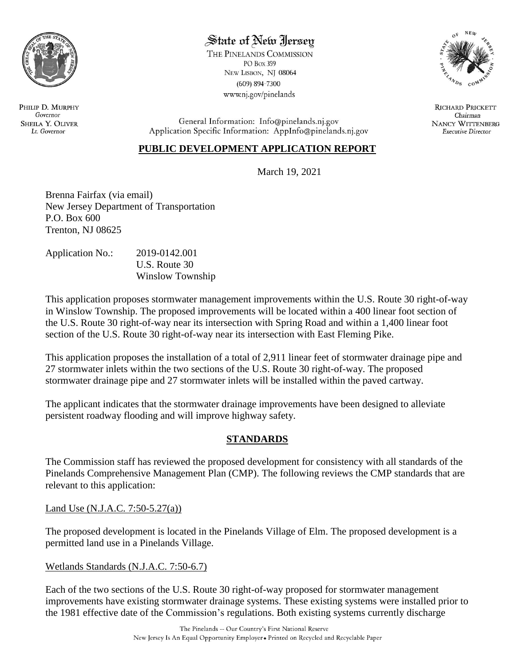

# State of New Jersey

THE PINELANDS COMMISSION PO Box 359 NEW LISBON, NJ 08064  $(609) 894 - 7300$ www.nj.gov/pinelands



**RICHARD PRICKETT** Chairman **NANCY WITTENBERG Executive Director** 

General Information: Info@pinelands.nj.gov Application Specific Information: AppInfo@pinelands.nj.gov

### **PUBLIC DEVELOPMENT APPLICATION REPORT**

March 19, 2021

Brenna Fairfax (via email) New Jersey Department of Transportation P.O. Box 600 Trenton, NJ 08625

| <b>Application No.:</b> | 2019-0142.001    |
|-------------------------|------------------|
|                         | U.S. Route 30    |
|                         | Winslow Township |

This application proposes stormwater management improvements within the U.S. Route 30 right-of-way in Winslow Township. The proposed improvements will be located within a 400 linear foot section of the U.S. Route 30 right-of-way near its intersection with Spring Road and within a 1,400 linear foot section of the U.S. Route 30 right-of-way near its intersection with East Fleming Pike.

This application proposes the installation of a total of 2,911 linear feet of stormwater drainage pipe and 27 stormwater inlets within the two sections of the U.S. Route 30 right-of-way. The proposed stormwater drainage pipe and 27 stormwater inlets will be installed within the paved cartway.

The applicant indicates that the stormwater drainage improvements have been designed to alleviate persistent roadway flooding and will improve highway safety.

### **STANDARDS**

The Commission staff has reviewed the proposed development for consistency with all standards of the Pinelands Comprehensive Management Plan (CMP). The following reviews the CMP standards that are relevant to this application:

#### Land Use (N.J.A.C. 7:50-5.27(a))

The proposed development is located in the Pinelands Village of Elm. The proposed development is a permitted land use in a Pinelands Village.

### Wetlands Standards (N.J.A.C. 7:50-6.7)

Each of the two sections of the U.S. Route 30 right-of-way proposed for stormwater management improvements have existing stormwater drainage systems. These existing systems were installed prior to the 1981 effective date of the Commission's regulations. Both existing systems currently discharge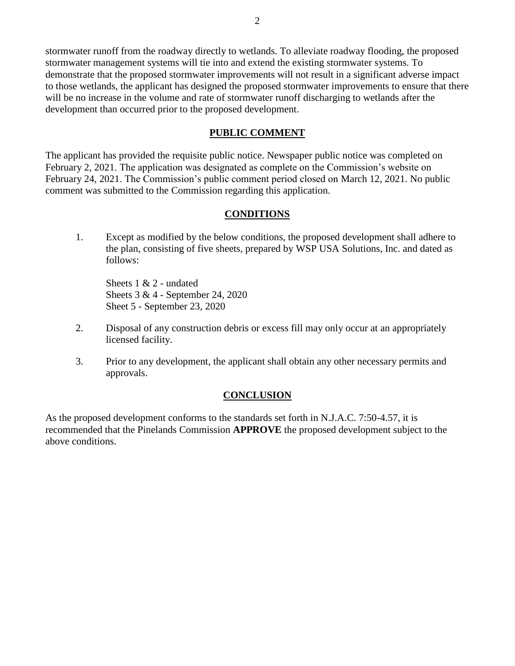stormwater runoff from the roadway directly to wetlands. To alleviate roadway flooding, the proposed stormwater management systems will tie into and extend the existing stormwater systems. To demonstrate that the proposed stormwater improvements will not result in a significant adverse impact to those wetlands, the applicant has designed the proposed stormwater improvements to ensure that there will be no increase in the volume and rate of stormwater runoff discharging to wetlands after the development than occurred prior to the proposed development.

#### **PUBLIC COMMENT**

The applicant has provided the requisite public notice. Newspaper public notice was completed on February 2, 2021. The application was designated as complete on the Commission's website on February 24, 2021. The Commission's public comment period closed on March 12, 2021. No public comment was submitted to the Commission regarding this application.

#### **CONDITIONS**

1. Except as modified by the below conditions, the proposed development shall adhere to the plan, consisting of five sheets, prepared by WSP USA Solutions, Inc. and dated as follows:

Sheets 1 & 2 - undated Sheets 3 & 4 - September 24, 2020 Sheet 5 - September 23, 2020

- 2. Disposal of any construction debris or excess fill may only occur at an appropriately licensed facility.
- 3. Prior to any development, the applicant shall obtain any other necessary permits and approvals.

#### **CONCLUSION**

As the proposed development conforms to the standards set forth in N.J.A.C. 7:50-4.57, it is recommended that the Pinelands Commission **APPROVE** the proposed development subject to the above conditions.